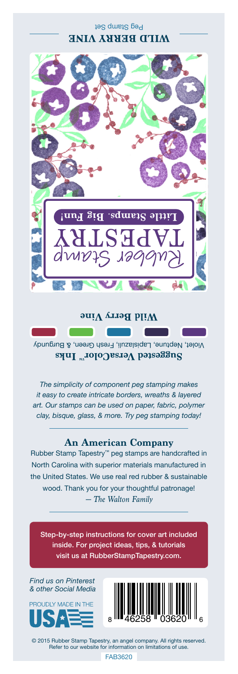## Peg Stamp Set **WILD BERRY VINE**



**Wild Berry Vine**

Violet, Neptune, Lapislazuli, Fresh Green, & Burgundy **Suggested VersaColor** Inks

*The simplicity of component peg stamping makes it easy to create intricate borders, wreaths & layered art. Our stamps can be used on paper, fabric, polymer clay, bisque, glass, & more. Try peg stamping today!*

## **An American Company**

*— The Walton Family* Rubber Stamp Tapestry™ peg stamps are handcrafted in North Carolina with superior materials manufactured in the United States. We use real red rubber & sustainable wood. Thank you for your thoughtful patronage!

Step-by-step instructions for cover art included inside. For project ideas, tips, & tutorials visit us at RubberStampTapestry.com.

*Find us on Pinterest & other Social Media*





© 2015 Rubber Stamp Tapestry, an angel company. All rights reserved. Refer to our website for information on limitations of use.